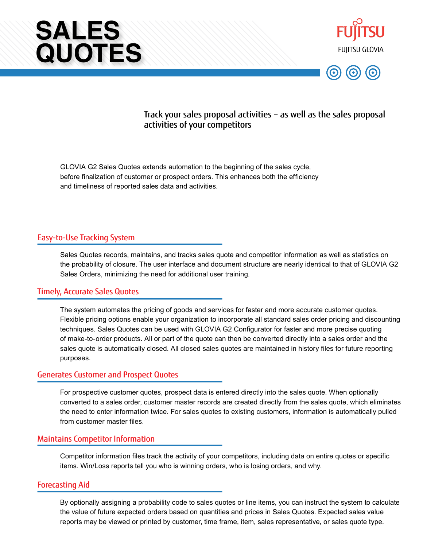





# Track your sales proposal activities – as well as the sales proposal activities of your competitors

GLOVIA G2 Sales Quotes extends automation to the beginning of the sales cycle, before finalization of customer or prospect orders. This enhances both the efficiency and timeliness of reported sales data and activities.

### Easy-to-Use Tracking System

Sales Quotes records, maintains, and tracks sales quote and competitor information as well as statistics on the probability of closure. The user interface and document structure are nearly identical to that of GLOVIA G2 Sales Orders, minimizing the need for additional user training.

### Timely, Accurate Sales Quotes

The system automates the pricing of goods and services for faster and more accurate customer quotes. Flexible pricing options enable your organization to incorporate all standard sales order pricing and discounting techniques. Sales Quotes can be used with GLOVIA G2 Configurator for faster and more precise quoting of make-to-order products. All or part of the quote can then be converted directly into a sales order and the sales quote is automatically closed. All closed sales quotes are maintained in history files for future reporting purposes.

#### Generates Customer and Prospect Quotes

For prospective customer quotes, prospect data is entered directly into the sales quote. When optionally converted to a sales order, customer master records are created directly from the sales quote, which eliminates the need to enter information twice. For sales quotes to existing customers, information is automatically pulled from customer master files.

#### Maintains Competitor Information

Competitor information files track the activity of your competitors, including data on entire quotes or specific items. Win/Loss reports tell you who is winning orders, who is losing orders, and why.

#### Forecasting Aid

By optionally assigning a probability code to sales quotes or line items, you can instruct the system to calculate the value of future expected orders based on quantities and prices in Sales Quotes. Expected sales value reports may be viewed or printed by customer, time frame, item, sales representative, or sales quote type.